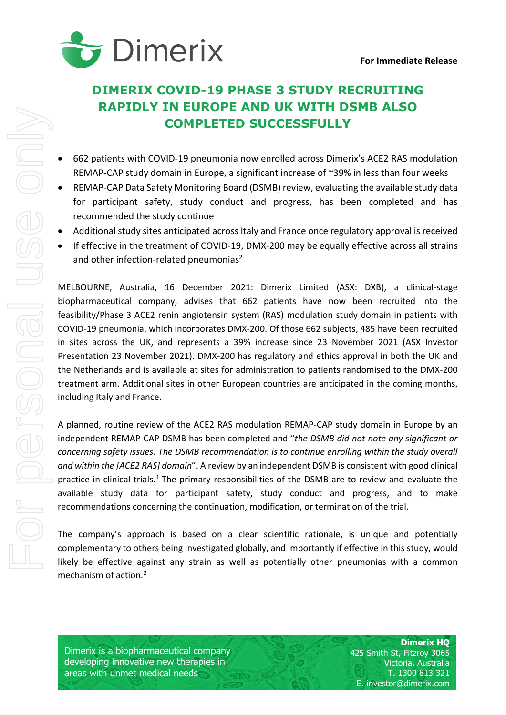

# **DIMERIX COVID-19 PHASE 3 STUDY RECRUITING RAPIDLY IN EUROPE AND UK WITH DSMB ALSO COMPLETED SUCCESSFULLY**

- 662 patients with COVID-19 pneumonia now enrolled across Dimerix's ACE2 RAS modulation REMAP-CAP study domain in Europe, a significant increase of ~39% in less than four weeks
- REMAP-CAP Data Safety Monitoring Board (DSMB) review, evaluating the available study data for participant safety, study conduct and progress, has been completed and has recommended the study continue
- Additional study sites anticipated across Italy and France once regulatory approval is received
- If effective in the treatment of COVID-19, DMX-200 may be equally effective across all strains and other infection-related pneumonias<sup>2</sup>

MELBOURNE, Australia, 16 December 2021: Dimerix Limited (ASX: DXB), a clinical-stage biopharmaceutical company, advises that 662 patients have now been recruited into the feasibility/Phase 3 ACE2 renin angiotensin system (RAS) modulation study domain in patients with COVID-19 pneumonia, which incorporates DMX-200. Of those 662 subjects, 485 have been recruited in sites across the UK, and represents a 39% increase since 23 November 2021 (ASX Investor Presentation 23 November 2021). DMX-200 has regulatory and ethics approval in both the UK and the Netherlands and is available at sites for administration to patients randomised to the DMX-200 treatment arm. Additional sites in other European countries are anticipated in the coming months, including Italy and France.

A planned, routine review of the ACE2 RAS modulation REMAP-CAP study domain in Europe by an independent REMAP-CAP DSMB has been completed and "*the DSMB did not note any significant or concerning safety issues. The DSMB recommendation is to continue enrolling within the study overall and within the [ACE2 RAS] domain*". A review by an independent DSMB is consistent with good clinical practice in clinical trials.<sup>[1](#page-4-0)</sup> The primary responsibilities of the DSMB are to review and evaluate the available study data for participant safety, study conduct and progress, and to make recommendations concerning the continuation, modification, or termination of the trial.

<span id="page-0-0"></span>The company's approach is based on a clear scientific rationale, is unique and potentially complementary to others being investigated globally, and importantly if effective in this study, would likely be effective against any strain as well as potentially other pneumonias with a common mechanism of action. [2](#page-4-1)

Dimerix is a biopharmaceutical company developing innovative new therapies in areas with unmet medical needs

**Dimerix HQ** 425 Smith St, Fitzroy 3065 Victoria, Australia T. 1300 813 321 E. investor@dimerix.com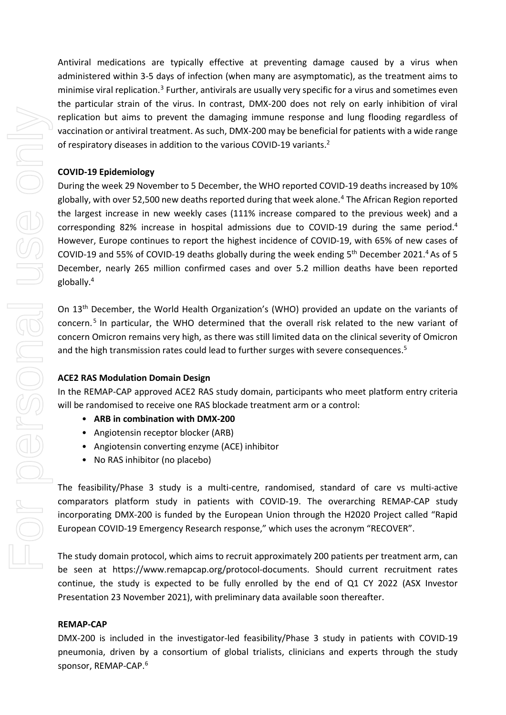Antiviral medications are typically effective at preventing damage caused by a virus when administered within 3-5 days of infection (when many are asymptomatic), as the treatment aims to minimise viral replication.[3](#page-4-2) Further, antivirals are usually very specific for a virus and sometimes even the particular strain of the virus. In contrast, DMX-200 does not rely on early inhibition of viral replication but aims to prevent the damaging immune response and lung flooding regardless of vaccination or antiviral treatment. As such, DMX-200 may be beneficial for patients with a wide range of respiratory diseases in addition to the various COVID-19 variants.<sup>2</sup>

## **COVID-19 Epidemiology**

<span id="page-1-0"></span>During the week 29 November to 5 December, the WHO reported COVID-19 deaths increased by 10% globally, with over 52,500 new deaths reported during that week alone.<sup>[4](#page-4-3)</sup> The African Region reported the largest increase in new weekly cases (111% increase compared to the previous week) and a corresponding 82% increase in hospital admissions due to COVID-19 during the same period[.4](#page-1-0) However, Europe continues to report the highest incidence of COVID-19, with 65% of new cases of COVID-19 and 55% of COVID-19 deaths globally during the week ending  $5<sup>th</sup>$  December 2021.<sup>4</sup> As of 5 December, nearly 265 million confirmed cases and over 5.2 million deaths have been reported globally[.4](#page-1-0)

<span id="page-1-1"></span>On 13th December, the World Health Organization's (WHO) provided an update on the variants of concern. [5](#page-4-4) In particular, the WHO determined that the overall risk related to the new variant of concern Omicron remains very high, as there was still limited data on the clinical severity of Omicron and the high transmission rates could lead to further surges with severe consequences.<sup>5</sup>

# **ACE2 RAS Modulation Domain Design**

In the REMAP-CAP approved ACE2 RAS study domain, participants who meet platform entry criteria will be randomised to receive one RAS blockade treatment arm or a control:

- **ARB in combination with DMX-200**
- Angiotensin receptor blocker (ARB)
- Angiotensin converting enzyme (ACE) inhibitor
- No RAS inhibitor (no placebo)

The feasibility/Phase 3 study is a multi-centre, randomised, standard of care vs multi-active comparators platform study in patients with COVID-19. The overarching REMAP-CAP study incorporating DMX-200 is funded by the European Union through the H2020 Project called "Rapid European COVID-19 Emergency Research response," which uses the acronym "RECOVER".

The study domain protocol, which aims to recruit approximately 200 patients per treatment arm, can be seen at https://www.remapcap.org/protocol-documents. Should current recruitment rates continue, the study is expected to be fully enrolled by the end of Q1 CY 2022 (ASX Investor Presentation 23 November 2021), with preliminary data available soon thereafter.

# **REMAP-CAP**

<span id="page-1-2"></span>DMX-200 is included in the investigator-led feasibility/Phase 3 study in patients with COVID-19 pneumonia, driven by a consortium of global trialists, clinicians and experts through the study sponsor, REMAP-CAP.[6](#page-4-5)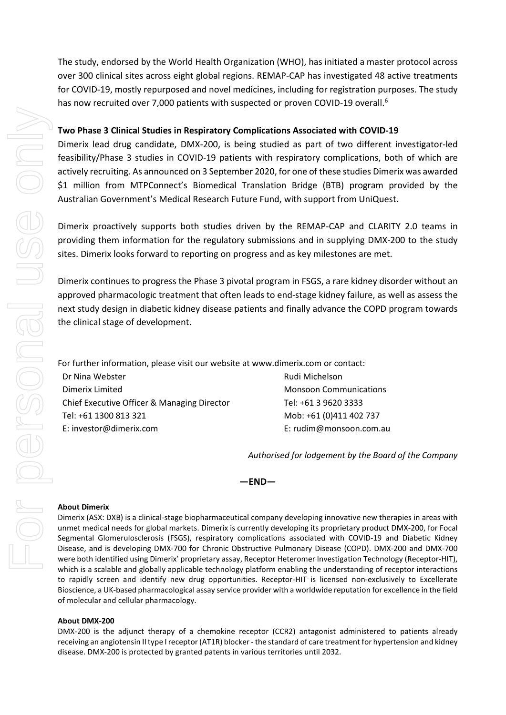The study, endorsed by the World Health Organization (WHO), has initiated a master protocol across over 300 clinical sites across eight global regions. REMAP-CAP has investigated 48 active treatments for COVID-19, mostly repurposed and novel medicines, including for registration purposes. The study has now recruited over 7,000 patients with suspected or proven COVID-19 overall[.](#page-1-2) 6

## **Two Phase 3 Clinical Studies in Respiratory Complications Associated with COVID-19**

Dimerix lead drug candidate, DMX-200, is being studied as part of two different investigator-led feasibility/Phase 3 studies in COVID-19 patients with respiratory complications, both of which are actively recruiting. As announced on 3 September 2020, for one of these studies Dimerix was awarded \$1 million from MTPConnect's Biomedical Translation Bridge (BTB) program provided by the Australian Government's Medical Research Future Fund, with support from UniQuest.

Dimerix proactively supports both studies driven by the REMAP-CAP and CLARITY 2.0 teams in providing them information for the regulatory submissions and in supplying DMX-200 to the study sites. Dimerix looks forward to reporting on progress and as key milestones are met.

Dimerix continues to progress the Phase 3 pivotal program in FSGS, a rare kidney disorder without an approved pharmacologic treatment that often leads to end-stage kidney failure, as well as assess the next study design in diabetic kidney disease patients and finally advance the COPD program towards the clinical stage of development.

For further information, please visit our website at www.dimerix.com or contact:

Dr Nina Webster Dimerix Limited Chief Executive Officer & Managing Director Tel: +61 1300 813 321 E: investor@dimerix.com

Rudi Michelson Monsoon Communications Tel: +61 3 9620 3333 Mob: +61 (0)411 402 737 E: rudim@monsoon.com.au

*Authorised for lodgement by the Board of the Company*

**—END—**

### **About Dimerix**

Dimerix (ASX: DXB) is a clinical-stage biopharmaceutical company developing innovative new therapies in areas with unmet medical needs for global markets. Dimerix is currently developing its proprietary product DMX-200, for Focal Segmental Glomerulosclerosis (FSGS), respiratory complications associated with COVID-19 and Diabetic Kidney Disease, and is developing DMX-700 for Chronic Obstructive Pulmonary Disease (COPD). DMX-200 and DMX-700 were both identified using Dimerix' proprietary assay, Receptor Heteromer Investigation Technology (Receptor-HIT), which is a scalable and globally applicable technology platform enabling the understanding of receptor interactions to rapidly screen and identify new drug opportunities. Receptor-HIT is licensed non-exclusively to Excellerate Bioscience, a UK-based pharmacological assay service provider with a worldwide reputation for excellence in the field of molecular and cellular pharmacology.

### **About DMX-200**

DMX-200 is the adjunct therapy of a chemokine receptor (CCR2) antagonist administered to patients already receiving an angiotensin II type I receptor (AT1R) blocker - the standard of care treatment for hypertension and kidney disease. DMX-200 is protected by granted patents in various territories until 2032.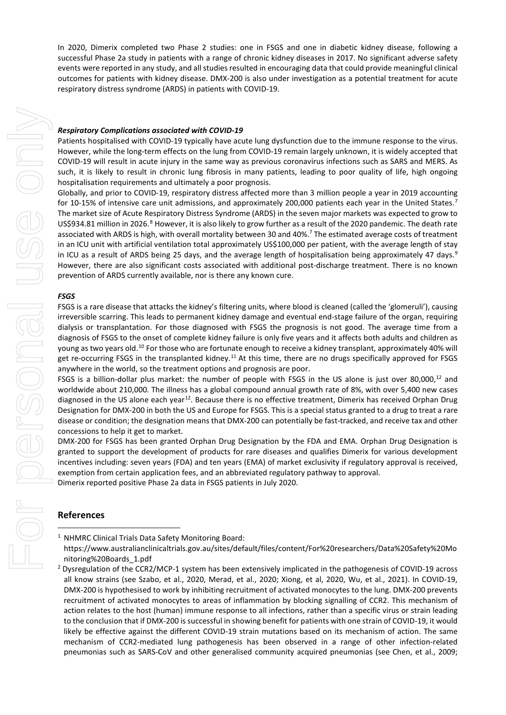In 2020, Dimerix completed two Phase 2 studies: one in FSGS and one in diabetic kidney disease, following a successful Phase 2a study in patients with a range of chronic kidney diseases in 2017. No significant adverse safety events were reported in any study, and all studies resulted in encouraging data that could provide meaningful clinical outcomes for patients with kidney disease. DMX-200 is also under investigation as a potential treatment for acute respiratory distress syndrome (ARDS) in patients with COVID-19.

#### *Respiratory Complications associated with COVID-19*

Patients hospitalised with COVID-19 typically have acute lung dysfunction due to the immune response to the virus. However, while the long-term effects on the lung from COVID-19 remain largely unknown, it is widely accepted that COVID-19 will result in acute injury in the same way as previous coronavirus infections such as SARS and MERS. As such, it is likely to result in chronic lung fibrosis in many patients, leading to poor quality of life, high ongoing hospitalisation requirements and ultimately a poor prognosis.

<span id="page-3-0"></span>Globally, and prior to COVID-19, respiratory distress affected more than 3 million people a year in 2019 accounting for 10-15% of intensive care unit admissions, and approximately 200,000 patients each year in the United States.[7](#page-4-6) The market size of Acute Respiratory Distress Syndrome (ARDS) in the seven major markets was expected to grow to US\$934.[8](#page-4-7)1 million in 2026.<sup>8</sup> However, it is also likely to grow further as a result of the 2020 pandemic. The death rate associated with ARDS is high, with overall mortality between 30 and 40%.<sup>7</sup> The estimated average costs of treatment in an ICU unit with artificial ventilation total approximately US\$100,000 per patient, with the average length of stay in ICU as a result of ARDS being 25 days, and the average length of hospitalisation being approximately 47 days.<sup>9</sup> However, there are also significant costs associated with additional post-discharge treatment. There is no known prevention of ARDS currently available, nor is there any known cure.

#### *FSGS*

FSGS is a rare disease that attacks the kidney's filtering units, where blood is cleaned (called the 'glomeruli'), causing irreversible scarring. This leads to permanent kidney damage and eventual end-stage failure of the organ, requiring dialysis or transplantation. For those diagnosed with FSGS the prognosis is not good. The average time from a diagnosis of FSGS to the onset of complete kidney failure is only five years and it affects both adults and children as young as two years old.[10](#page-4-9) For those who are fortunate enough to receive a kidney transplant, approximately 40% will get re-occurring FSGS in the transplanted kidney.<sup>[11](#page-4-10)</sup> At this time, there are no drugs specifically approved for FSGS anywhere in the world, so the treatment options and prognosis are poor.

<span id="page-3-1"></span>FSGS is a billion-dollar plus market: the number of people with FSGS in the US alone is just over 80,000,<sup>12</sup> and worldwide about 210,000. The illness has a global compound annual growth rate of 8%, with over 5,400 new cases diagnosed in the US alone each year<sup>12</sup>. Because there is no effective treatment, Dimerix has received Orphan Drug Designation for DMX-200 in both the US and Europe for FSGS. This is a special status granted to a drug to treat a rare disease or condition; the designation means that DMX-200 can potentially be fast-tracked, and receive tax and other concessions to help it get to market.

DMX-200 for FSGS has been granted Orphan Drug Designation by the FDA and EMA. Orphan Drug Designation is granted to support the development of products for rare diseases and qualifies Dimerix for various development incentives including: seven years (FDA) and ten years (EMA) of market exclusivity if regulatory approval is received, exemption from certain application fees, and an abbreviated regulatory pathway to approval.

Dimerix reported positive Phase 2a data in FSGS patients in July 2020.

## **References**

<sup>1</sup> NHMRC Clinical Trials Data Safety Monitoring Board:

https://www.australianclinicaltrials.gov.au/sites/default/files/content/For%20researchers/Data%20Safety%20Mo nitoring%20Boards\_1.pdf

<sup>&</sup>lt;sup>2</sup> Dysregulation of the CCR2/MCP-1 system has been extensively implicated in the pathogenesis of COVID-19 across all know strains (see Szabo, et al., 2020, Merad, et al., 2020; Xiong, et al, 2020, Wu, et al., 2021). In COVID-19, DMX-200 is hypothesised to work by inhibiting recruitment of activated monocytes to the lung. DMX-200 prevents recruitment of activated monocytes to areas of inflammation by blocking signalling of CCR2. This mechanism of action relates to the host (human) immune response to all infections, rather than a specific virus or strain leading to the conclusion that if DMX-200 is successful in showing benefit for patients with one strain of COVID-19, it would likely be effective against the different COVID-19 strain mutations based on its mechanism of action. The same mechanism of CCR2-mediated lung pathogenesis has been observed in a range of other infection-related pneumonias such as SARS-CoV and other generalised community acquired pneumonias (see Chen, et al., 2009;